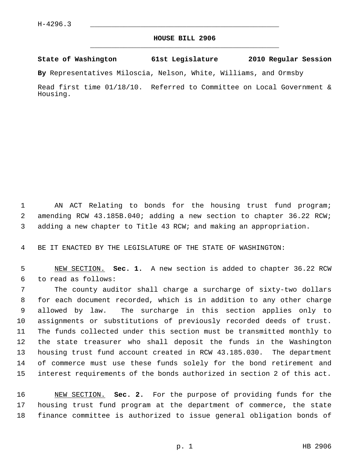## **HOUSE BILL 2906** \_\_\_\_\_\_\_\_\_\_\_\_\_\_\_\_\_\_\_\_\_\_\_\_\_\_\_\_\_\_\_\_\_\_\_\_\_\_\_\_\_\_\_\_\_

## **State of Washington 61st Legislature 2010 Regular Session**

**By** Representatives Miloscia, Nelson, White, Williams, and Ormsby

Read first time 01/18/10. Referred to Committee on Local Government & Housing.

1 AN ACT Relating to bonds for the housing trust fund program; 2 amending RCW 43.185B.040; adding a new section to chapter 36.22 RCW; 3 adding a new chapter to Title 43 RCW; and making an appropriation.

4 BE IT ENACTED BY THE LEGISLATURE OF THE STATE OF WASHINGTON:

 5 NEW SECTION. **Sec. 1.** A new section is added to chapter 36.22 RCW 6 to read as follows:

 7 The county auditor shall charge a surcharge of sixty-two dollars 8 for each document recorded, which is in addition to any other charge 9 allowed by law. The surcharge in this section applies only to 10 assignments or substitutions of previously recorded deeds of trust. 11 The funds collected under this section must be transmitted monthly to 12 the state treasurer who shall deposit the funds in the Washington 13 housing trust fund account created in RCW 43.185.030. The department 14 of commerce must use these funds solely for the bond retirement and 15 interest requirements of the bonds authorized in section 2 of this act.

16 NEW SECTION. **Sec. 2.** For the purpose of providing funds for the 17 housing trust fund program at the department of commerce, the state 18 finance committee is authorized to issue general obligation bonds of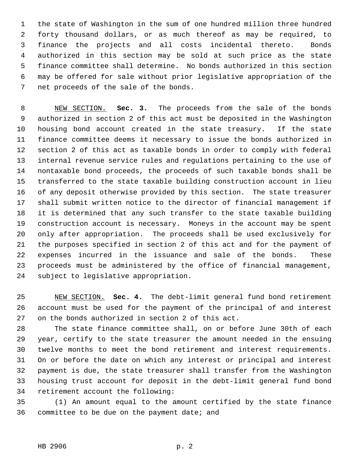1 the state of Washington in the sum of one hundred million three hundred 2 forty thousand dollars, or as much thereof as may be required, to 3 finance the projects and all costs incidental thereto. Bonds 4 authorized in this section may be sold at such price as the state 5 finance committee shall determine. No bonds authorized in this section 6 may be offered for sale without prior legislative appropriation of the 7 net proceeds of the sale of the bonds.

 8 NEW SECTION. **Sec. 3.** The proceeds from the sale of the bonds 9 authorized in section 2 of this act must be deposited in the Washington 10 housing bond account created in the state treasury. If the state 11 finance committee deems it necessary to issue the bonds authorized in 12 section 2 of this act as taxable bonds in order to comply with federal 13 internal revenue service rules and regulations pertaining to the use of 14 nontaxable bond proceeds, the proceeds of such taxable bonds shall be 15 transferred to the state taxable building construction account in lieu 16 of any deposit otherwise provided by this section. The state treasurer 17 shall submit written notice to the director of financial management if 18 it is determined that any such transfer to the state taxable building 19 construction account is necessary. Moneys in the account may be spent 20 only after appropriation. The proceeds shall be used exclusively for 21 the purposes specified in section 2 of this act and for the payment of 22 expenses incurred in the issuance and sale of the bonds. These 23 proceeds must be administered by the office of financial management, 24 subject to legislative appropriation.

25 NEW SECTION. **Sec. 4.** The debt-limit general fund bond retirement 26 account must be used for the payment of the principal of and interest 27 on the bonds authorized in section 2 of this act.

28 The state finance committee shall, on or before June 30th of each 29 year, certify to the state treasurer the amount needed in the ensuing 30 twelve months to meet the bond retirement and interest requirements. 31 On or before the date on which any interest or principal and interest 32 payment is due, the state treasurer shall transfer from the Washington 33 housing trust account for deposit in the debt-limit general fund bond 34 retirement account the following:

35 (1) An amount equal to the amount certified by the state finance 36 committee to be due on the payment date; and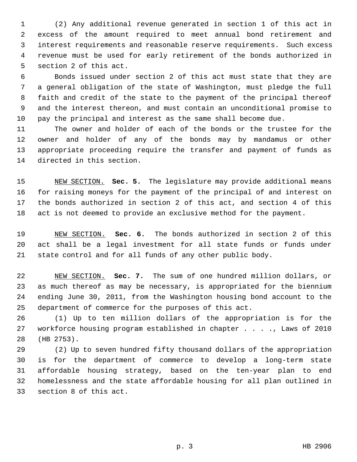1 (2) Any additional revenue generated in section 1 of this act in 2 excess of the amount required to meet annual bond retirement and 3 interest requirements and reasonable reserve requirements. Such excess 4 revenue must be used for early retirement of the bonds authorized in 5 section 2 of this act.

 6 Bonds issued under section 2 of this act must state that they are 7 a general obligation of the state of Washington, must pledge the full 8 faith and credit of the state to the payment of the principal thereof 9 and the interest thereon, and must contain an unconditional promise to 10 pay the principal and interest as the same shall become due.

11 The owner and holder of each of the bonds or the trustee for the 12 owner and holder of any of the bonds may by mandamus or other 13 appropriate proceeding require the transfer and payment of funds as 14 directed in this section.

15 NEW SECTION. **Sec. 5.** The legislature may provide additional means 16 for raising moneys for the payment of the principal of and interest on 17 the bonds authorized in section 2 of this act, and section 4 of this 18 act is not deemed to provide an exclusive method for the payment.

19 NEW SECTION. **Sec. 6.** The bonds authorized in section 2 of this 20 act shall be a legal investment for all state funds or funds under 21 state control and for all funds of any other public body.

22 NEW SECTION. **Sec. 7.** The sum of one hundred million dollars, or 23 as much thereof as may be necessary, is appropriated for the biennium 24 ending June 30, 2011, from the Washington housing bond account to the 25 department of commerce for the purposes of this act.

26 (1) Up to ten million dollars of the appropriation is for the 27 workforce housing program established in chapter . . . ., Laws of 2010 28 (HB 2753).

29 (2) Up to seven hundred fifty thousand dollars of the appropriation 30 is for the department of commerce to develop a long-term state 31 affordable housing strategy, based on the ten-year plan to end 32 homelessness and the state affordable housing for all plan outlined in 33 section 8 of this act.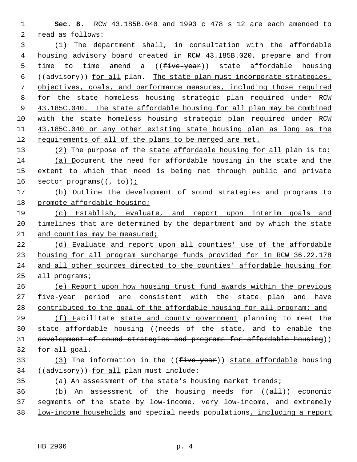1 **Sec. 8.** RCW 43.185B.040 and 1993 c 478 s 12 are each amended to 2 read as follows:

 3 (1) The department shall, in consultation with the affordable 4 housing advisory board created in RCW 43.185B.020, prepare and from 5 time to time amend a ((five-year)) state affordable housing 6 ((advisory)) for all plan. The state plan must incorporate strategies, 7 objectives, goals, and performance measures, including those required 8 for the state homeless housing strategic plan required under RCW 9 43.185C.040. The state affordable housing for all plan may be combined 10 with the state homeless housing strategic plan required under RCW 11 43.185C.040 or any other existing state housing plan as long as the 12 requirements of all of the plans to be merged are met.

13 (2) The purpose of the state affordable housing for all plan is to: 14 (a) Document the need for affordable housing in the state and the 15 extent to which that need is being met through public and private 16 sector programs $((\frac{1}{1} + \epsilon \theta))^2$ ;

17 (b) Outline the development of sound strategies and programs to 18 promote affordable housing;

19 (c) Establish, evaluate, and report upon interim goals and 20 timelines that are determined by the department and by which the state 21 and counties may be measured;

 (d) Evaluate and report upon all counties' use of the affordable housing for all program surcharge funds provided for in RCW 36.22.178 and all other sources directed to the counties' affordable housing for all programs;

26 (e) Report upon how housing trust fund awards within the previous 27 five-year period are consistent with the state plan and have 28 contributed to the goal of the affordable housing for all program; and

 (f) Facilitate state and county government planning to meet the state affordable housing ((needs of the state, and to enable the 31 development of sound strategies and programs for affordable housing)) for all goal.

33 (3) The information in the ((five-year)) state affordable housing 34 ((advisory)) for all plan must include:

35 (a) An assessment of the state's housing market trends;

36 (b) An assessment of the housing needs for  $((aH))$  economic 37 segments of the state by low-income, very low-income, and extremely 38 low-income households and special needs populations, including a report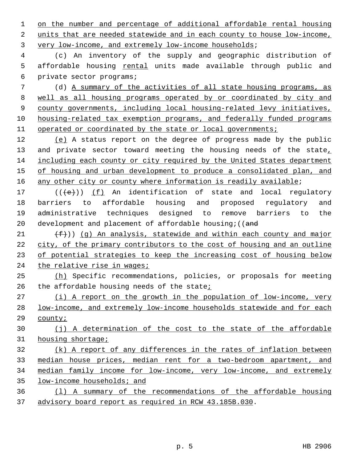on the number and percentage of additional affordable rental housing units that are needed statewide and in each county to house low-income, very low-income, and extremely low-income households;

 4 (c) An inventory of the supply and geographic distribution of 5 affordable housing rental units made available through public and 6 private sector programs;

 7 (d) A summary of the activities of all state housing programs, as well as all housing programs operated by or coordinated by city and county governments, including local housing-related levy initiatives, housing-related tax exemption programs, and federally funded programs 11 operated or coordinated by the state or local governments;

 (e) A status report on the degree of progress made by the public 13 and private sector toward meeting the housing needs of the state, including each county or city required by the United States department of housing and urban development to produce a consolidated plan, and 16 any other city or county where information is readily available;

 $((\{e\})$  (f) An identification of state and local regulatory 18 barriers to affordable housing and proposed regulatory and 19 administrative techniques designed to remove barriers to the 20 development and placement of affordable housing;  $((and$ 

 $(f)$ ) (g) An analysis, statewide and within each county and major city, of the primary contributors to the cost of housing and an outline of potential strategies to keep the increasing cost of housing below 24 the relative rise in wages;

 (h) Specific recommendations, policies, or proposals for meeting 26 the affordable housing needs of the state;

 (i) A report on the growth in the population of low-income, very low-income, and extremely low-income households statewide and for each county;

 (j) A determination of the cost to the state of the affordable housing shortage;

 (k) A report of any differences in the rates of inflation between median house prices, median rent for a two-bedroom apartment, and median family income for low-income, very low-income, and extremely low-income households; and

 (l) A summary of the recommendations of the affordable housing advisory board report as required in RCW 43.185B.030.